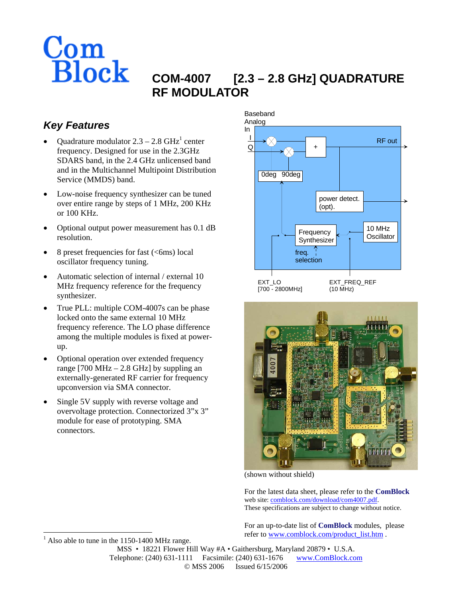

# **COM-4007 [2.3 – 2.8 GHz] QUADRATURE RF MODULATOR**

## *Key Features*

- Quadrature modulator  $2.3 2.8$  GHz<sup>[1](#page-0-0)</sup> center frequency. Designed for use in the 2.3GHz SDARS band, in the 2.4 GHz unlicensed band and in the Multichannel Multipoint Distribution Service (MMDS) band.
- Low-noise frequency synthesizer can be tuned over entire range by steps of 1 MHz, 200 KHz or 100 KHz.
- Optional output power measurement has 0.1 dB resolution.
- 8 preset frequencies for fast  $(<6$ ms) local oscillator frequency tuning.
- Automatic selection of internal / external 10 MHz frequency reference for the frequency synthesizer.
- True PLL: multiple COM-4007s can be phase locked onto the same external 10 MHz frequency reference. The LO phase difference among the multiple modules is fixed at powerup.
- Optional operation over extended frequency range  $[700 \text{ MHz} - 2.8 \text{ GHz}]$  by suppling an externally-generated RF carrier for frequency upconversion via SMA connector.
- Single 5V supply with reverse voltage and overvoltage protection. Connectorized 3"x 3" module for ease of prototyping. SMA connectors.





(shown without shield)

For the latest data sheet, please refer to the **ComBlock** web site: [comblock.com/download/com4007.pdf](http://www.comblock.com/download/com4007.pdf). These specifications are subject to change without notice.

For an up-to-date list of **ComBlock** modules, please refer to [www.comblock.com/product\\_list.htm](http://www.comblock.com/product_list.htm) .

MSS • 18221 Flower Hill Way #A • Gaithersburg, Maryland 20879 • U.S.A. Telephone: (240) 631-1111 Facsimile: (240) 631-1676 www.ComBlock.com © MSS 2006 Issued 6/15/2006

<span id="page-0-0"></span>-1 Also able to tune in the 1150-1400 MHz range.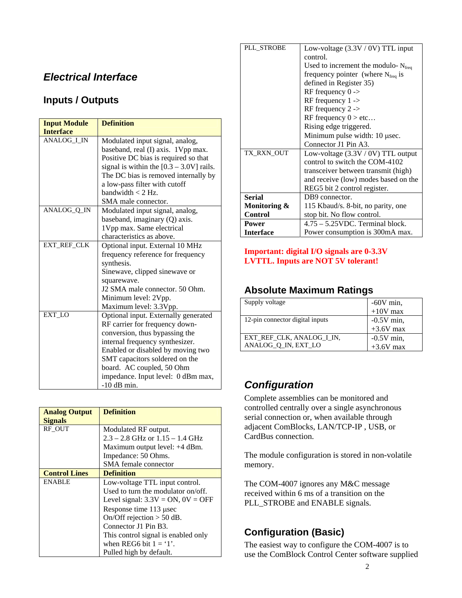### *Electrical Interface*

#### **Inputs / Outputs**

| <b>Input Module</b> | <b>Definition</b>                          |  |
|---------------------|--------------------------------------------|--|
| <b>Interface</b>    |                                            |  |
| ANALOG_I_IN         | Modulated input signal, analog,            |  |
|                     | baseband, real (I) axis. 1Vpp max.         |  |
|                     | Positive DC bias is required so that       |  |
|                     | signal is within the $[0.3 - 3.0V]$ rails. |  |
|                     | The DC bias is removed internally by       |  |
|                     | a low-pass filter with cutoff              |  |
|                     | bandwidth $< 2$ Hz.                        |  |
|                     | SMA male connector.                        |  |
| ANALOG_Q_IN         | Modulated input signal, analog,            |  |
|                     | baseband, imaginary (Q) axis.              |  |
|                     | 1Vpp max. Same electrical                  |  |
|                     | characteristics as above.                  |  |
| EXT_REF_CLK         | Optional input. External 10 MHz            |  |
|                     | frequency reference for frequency          |  |
|                     | synthesis.                                 |  |
|                     | Sinewave, clipped sinewave or              |  |
|                     | squarewave.                                |  |
|                     | J2 SMA male connector. 50 Ohm.             |  |
|                     | Minimum level: 2Vpp.                       |  |
|                     | Maximum level: 3.3Vpp.                     |  |
| EXT_LO              | Optional input. Externally generated       |  |
|                     | RF carrier for frequency down-             |  |
|                     | conversion, thus bypassing the             |  |
|                     | internal frequency synthesizer.            |  |
|                     | Enabled or disabled by moving two          |  |
|                     | SMT capacitors soldered on the             |  |
|                     | board. AC coupled, 50 Ohm                  |  |
|                     | impedance. Input level: 0 dBm max,         |  |
|                     | $-10$ dB min.                              |  |

| <b>Analog Output</b><br><b>Signals</b> | <b>Definition</b>                      |
|----------------------------------------|----------------------------------------|
| RF OUT                                 | Modulated RF output.                   |
|                                        | $2.3 - 2.8$ GHz or $1.15 - 1.4$ GHz    |
|                                        | Maximum output level: +4 dBm.          |
|                                        | Impedance: 50 Ohms.                    |
|                                        | SMA female connector                   |
| <b>Control Lines</b>                   | <b>Definition</b>                      |
| <b>ENABLE</b>                          | Low-voltage TTL input control.         |
|                                        | Used to turn the modulator on/off.     |
|                                        | Level signal: $3.3V = ON$ , $0V = OFF$ |
|                                        | Response time 113 µsec                 |
|                                        | On/Off rejection $>$ 50 dB.            |
|                                        | Connector J1 Pin B3.                   |
|                                        | This control signal is enabled only    |
|                                        | when REG6 bit $1 = '1'.$               |
|                                        | Pulled high by default.                |

| PLL STROBE       | Low-voltage (3.3V / 0V) TTL input             |  |  |
|------------------|-----------------------------------------------|--|--|
|                  | control.                                      |  |  |
|                  | Used to increment the modulo- $N_{freq}$      |  |  |
|                  | frequency pointer (where $N_{\text{freq}}$ is |  |  |
|                  | defined in Register 35)                       |  |  |
|                  | RF frequency $0 \rightarrow$                  |  |  |
|                  | RF frequency $1 -$                            |  |  |
|                  | RF frequency $2 \rightarrow$                  |  |  |
|                  | RF frequency $0 > etc$                        |  |  |
|                  | Rising edge triggered.                        |  |  |
|                  | Minimum pulse width: 10 usec.                 |  |  |
|                  | Connector J1 Pin A3.                          |  |  |
|                  |                                               |  |  |
| TX RXN OUT       | Low-voltage $(3.3V / 0V)$ TTL output          |  |  |
|                  | control to switch the COM-4102                |  |  |
|                  | transceiver between transmit (high)           |  |  |
|                  | and receive (low) modes based on the          |  |  |
|                  | REG5 bit 2 control register.                  |  |  |
| <b>Serial</b>    | DB9 connector.                                |  |  |
| Monitoring &     | 115 Kbaud/s. 8-bit, no parity, one            |  |  |
| <b>Control</b>   | stop bit. No flow control.                    |  |  |
| Power            | 4.75 - 5.25 VDC. Terminal block.              |  |  |
| <b>Interface</b> | Power consumption is 300mA max.               |  |  |
|                  |                                               |  |  |

#### **Important: digital I/O signals are 0-3.3V LVTTL. Inputs are NOT 5V tolerant!**

#### **Absolute Maximum Ratings**

| Supply voltage                  | $-60V$ min,<br>$+10V$ max |
|---------------------------------|---------------------------|
|                                 |                           |
| 12-pin connector digital inputs |                           |
|                                 | $-0.5V$ min,<br>+3.6V max |
| EXT REF CLK, ANALOG I IN,       | $-0.5V$ min,              |
| ANALOG_Q_IN, EXT_LO             | $+3.6V$ max               |

## *Configuration*

Complete assemblies can be monitored and controlled centrally over a single asynchronous serial connection or, when available through adjacent ComBlocks, LAN/TCP-IP , USB, or CardBus connection.

The module configuration is stored in non-volatile memory.

The COM-4007 ignores any M&C message received within 6 ms of a transition on the PLL\_STROBE and ENABLE signals.

### **Configuration (Basic)**

The easiest way to configure the COM-4007 is to use the ComBlock Control Center software supplied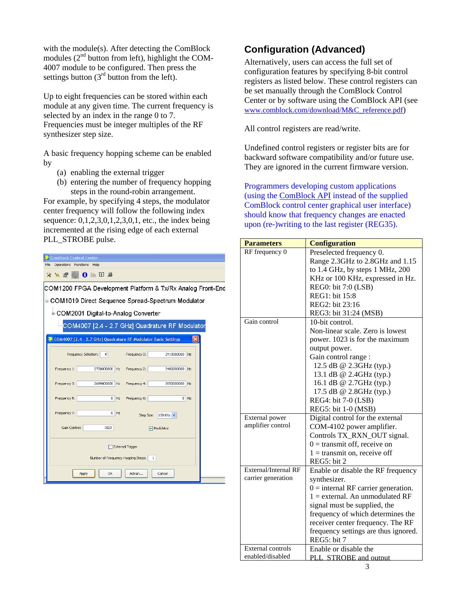with the module(s). After detecting the ComBlock modules  $(2<sup>nd</sup>$  button from left), highlight the COM-4007 module to be configured. Then press the settings button  $(3<sup>rd</sup>$  button from the left).

Up to eight frequencies can be stored within each module at any given time. The current frequency is selected by an index in the range 0 to 7. Frequencies must be integer multiples of the RF synthesizer step size.

A basic frequency hopping scheme can be enabled by

- (a) enabling the external trigger
- (b) entering the number of frequency hopping steps in the round-robin arrangement.

For example, by specifying 4 steps, the modulator center frequency will follow the following index sequence: 0,1,2,3,0,1,2,3,0,1, etc., the index being incremented at the rising edge of each external PLL\_STROBE pulse.

|                  | <b>ComBlock Control Center</b>          |                                                                |        |              |            |        |  |
|------------------|-----------------------------------------|----------------------------------------------------------------|--------|--------------|------------|--------|--|
|                  | File<br>Operations Functions<br>Help    |                                                                |        |              |            |        |  |
|                  | $X$ $M$ $\mathbb{F}$                    | 1 ※ 3 点                                                        |        |              |            |        |  |
|                  |                                         | COM1200 FPGA Development Platform & Tx/Rx Analog Front-End     |        |              |            |        |  |
|                  |                                         | ≐-COM1019 Direct Sequence Spread-Spectrum Modulator            |        |              |            |        |  |
|                  |                                         | L-COM2001 Digital-to-Analog Converter                          |        |              |            |        |  |
|                  |                                         | COM4007 [2.4 - 2.7 GHz] Quadrature RF Modulator                |        |              |            |        |  |
|                  |                                         | COM4007 [2.4 - 2.7 GHz] Quadrature RF Modulator Basic Settings |        |              |            | Ι×Ι    |  |
|                  |                                         | 4<br>Frequency Selection:                                      |        | Frequency 0: | 2410000000 | Hz     |  |
|                  | Frequency 1:                            | 2700000000 Hz                                                  |        | Frequency 2: | 2400200000 | Hz     |  |
|                  | Frequency 3:                            | 2699800000 Hz                                                  |        | Frequency 4: | 2650000000 | Hz     |  |
|                  | Frequency 5:                            |                                                                | $0$ Hz | Frequency 6: |            | $0$ Hz |  |
|                  | Frequency 7:                            |                                                                | $0$ Hz | Step Size:   | 100 KHz    |        |  |
|                  | Gain Control:                           | 1023                                                           |        |              | Modulator  |        |  |
| External Trigger |                                         |                                                                |        |              |            |        |  |
|                  | Number of Frequency Hopping Steps:<br>1 |                                                                |        |              |            |        |  |
|                  |                                         | Оk<br>Apply                                                    |        | Advan        | Cancel     |        |  |

#### **Configuration (Advanced)**

Alternatively, users can access the full set of configuration features by specifying 8-bit control registers as listed below. These control registers can be set manually through the ComBlock Control Center or by software using the ComBlock API (see [www.comblock.com/download/M&C\\_reference.pdf](http://www.comblock.com/download/M&C_reference.pdf))

All control registers are read/write.

Undefined control registers or register bits are for backward software compatibility and/or future use. They are ignored in the current firmware version.

Programmers developing custom applications (using the [ComBlock API](http://www.comblock.com/download/M&C_reference.pdf) instead of the supplied ComBlock control center graphical user interface) should know that frequency changes are enacted upon (re-)writing to the last register (REG35).

| <b>Parameters</b>        | <b>Configuration</b>                  |
|--------------------------|---------------------------------------|
| RF frequency 0           | Preselected frequency 0.              |
|                          | Range 2.3GHz to 2.8GHz and 1.15       |
|                          | to 1.4 GHz, by steps 1 MHz, 200       |
|                          | KHz or 100 KHz, expressed in Hz.      |
|                          | REG0: bit 7:0 (LSB)                   |
|                          | REG1: bit 15:8                        |
|                          | REG2: bit 23:16                       |
|                          | REG3: bit 31:24 (MSB)                 |
| Gain control             | 10-bit control.                       |
|                          | Non-linear scale. Zero is lowest      |
|                          | power. 1023 is for the maximum        |
|                          | output power.                         |
|                          | Gain control range :                  |
|                          | 12.5 dB @ 2.3GHz (typ.)               |
|                          | 13.1 dB @ 2.4GHz (typ.)               |
|                          | 16.1 dB @ 2.7GHz (typ.)               |
|                          | 17.5 dB @ 2.8GHz (typ.)               |
|                          | REG4: bit 7-0 (LSB)                   |
|                          | REG5: bit 1-0 (MSB)                   |
| External power           | Digital control for the external      |
| amplifier control        | COM-4102 power amplifier.             |
|                          | Controls TX_RXN_OUT signal.           |
|                          | $0 =$ transmit off, receive on        |
|                          | $1 =$ transmit on, receive off        |
|                          | REG5: bit 2                           |
| External/Internal RF     | Enable or disable the RF frequency    |
| carrier generation       | synthesizer.                          |
|                          | $0 =$ internal RF carrier generation. |
|                          | $1 =$ external. An unmodulated RF     |
|                          | signal must be supplied, the          |
|                          | frequency of which determines the     |
|                          | receiver center frequency. The RF     |
|                          | frequency settings are thus ignored.  |
|                          | REG5: bit 7                           |
| <b>External controls</b> | Enable or disable the                 |
| enabled/disabled         | PLL STROBE and output                 |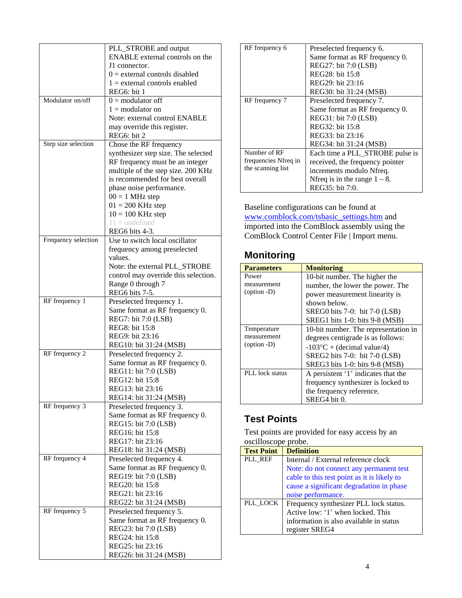|                     | PLL_STROBE and output                                                 |
|---------------------|-----------------------------------------------------------------------|
|                     | <b>ENABLE</b> external controls on the                                |
|                     | J1 connector.                                                         |
|                     | $0 =$ external controls disabled                                      |
|                     | $1 =$ external controls enabled                                       |
|                     | REG6: bit 1                                                           |
| Modulator on/off    | $0 =$ modulator off                                                   |
|                     | $1 =$ modulator on                                                    |
|                     | Note: external control ENABLE                                         |
|                     | may override this register.                                           |
|                     | REG6: bit 2                                                           |
| Step size selection | Chose the RF frequency                                                |
|                     | synthesizer step size. The selected                                   |
|                     | RF frequency must be an integer<br>multiple of the step size. 200 KHz |
|                     | is recommended for best overall                                       |
|                     | phase noise performance.                                              |
|                     | $00 = 1$ MHz step                                                     |
|                     | $01 = 200$ KHz step                                                   |
|                     | $10 = 100$ KHz step                                                   |
|                     | $11 =$ undefined                                                      |
|                     | REG6 bits 4-3.                                                        |
| Frequency selection | Use to switch local oscillator                                        |
|                     | frequency among preselected                                           |
|                     | values.                                                               |
|                     | Note: the external PLL_STROBE                                         |
|                     | control may override this selection.                                  |
|                     | Range 0 through 7                                                     |
|                     | REG6 bits 7-5.                                                        |
| RF frequency 1      | Preselected frequency 1.                                              |
|                     | Same format as RF frequency 0.                                        |
|                     | REG7: bit 7:0 (LSB)<br>REG8: bit 15:8                                 |
|                     | REG9: bit 23:16                                                       |
|                     | REG10: bit 31:24 (MSB)                                                |
| RF frequency 2      | Preselected frequency 2.                                              |
|                     | Same format as RF frequency 0.                                        |
|                     | REG11: bit 7:0 (LSB)                                                  |
|                     | REG12: bit 15:8                                                       |
|                     | REG13: bit 23:16                                                      |
|                     | REG14: bit 31:24 (MSB)                                                |
| RF frequency 3      | Preselected frequency 3.                                              |
|                     | Same format as RF frequency 0.                                        |
|                     | REG15: bit 7:0 (LSB)                                                  |
|                     | REG16: bit 15:8                                                       |
|                     | REG17: bit 23:16                                                      |
| RF frequency 4      | REG18: bit 31:24 (MSB)                                                |
|                     | Preselected frequency 4.                                              |
|                     | Same format as RF frequency 0.<br>REG19: bit 7:0 (LSB)                |
|                     | REG20: bit 15:8                                                       |
|                     | REG21: bit 23:16                                                      |
|                     | REG22: bit 31:24 (MSB)                                                |
| RF frequency 5      | Preselected frequency 5.                                              |
|                     | Same format as RF frequency 0.                                        |
|                     | REG23: bit 7:0 (LSB)                                                  |
|                     | REG24: bit 15:8                                                       |
|                     | REG25: bit 23:16                                                      |
|                     | REG26: bit 31:24 (MSB)                                                |

| RF frequency 6       | Preselected frequency 6.         |
|----------------------|----------------------------------|
|                      | Same format as RF frequency 0.   |
|                      | REG27: bit 7:0 (LSB)             |
|                      | REG28: bit 15:8                  |
|                      | REG29: bit 23:16                 |
|                      | REG30: bit 31:24 (MSB)           |
| RF frequency 7       | Preselected frequency 7.         |
|                      | Same format as RF frequency 0.   |
|                      | REG31: bit 7:0 (LSB)             |
|                      | REG32: bit 15:8                  |
|                      | REG33: bit 23:16                 |
|                      | REG34: bit 31:24 (MSB)           |
| Number of RF         | Each time a PLL_STROBE pulse is  |
| frequencies Nfreq in | received, the frequency pointer  |
| the scanning list    | increments modulo Nfreq.         |
|                      | Notice is in the range $1 - 8$ . |
|                      | REG35: bit 7:0.                  |

Baseline configurations can be found at [www.comblock.com/tsbasic\\_settings.htm](http://www.comblock.com/tsbasic_settings.htm) and imported into the ComBlock assembly using the ComBlock Control Center File | Import menu.

### **Monitoring**

| <b>Parameters</b>      | <b>Monitoring</b>                    |
|------------------------|--------------------------------------|
| Power                  | 10-bit number. The higher the        |
| measurement            | number, the lower the power. The     |
| $(option -D)$          | power measurement linearity is       |
|                        | shown below.                         |
|                        | SREG0 bits $7-0$ : bit $7-0$ (LSB)   |
|                        | SREG1 bits 1-0: bits 9-8 (MSB)       |
| Temperature            | 10-bit number. The representation in |
| measurement            | degrees centigrade is as follows:    |
| $(option -D)$          | $-103^{\circ}C$ + (decimal value/4)  |
|                        | SREG2 bits $7-0$ : bit $7-0$ (LSB)   |
|                        | SREG3 bits 1-0: bits 9-8 (MSB)       |
| <b>PLL</b> lock status | A persistent '1' indicates that the  |
|                        | frequency synthesizer is locked to   |
|                        | the frequency reference.             |
|                        | SREG4 bit 0.                         |

### **Test Points**

Test points are provided for easy access by an oscilloscope probe.

| <b>Test Point</b> | <b>Definition</b>                           |
|-------------------|---------------------------------------------|
| PLL REF           | Internal / External reference clock         |
|                   | Note: do not connect any permanent test     |
|                   | cable to this test point as it is likely to |
|                   | cause a significant degradation in phase    |
|                   | noise performance.                          |
| PLL LOCK          | Frequency synthesizer PLL lock status.      |
|                   | Active low: '1' when locked. This           |
|                   | information is also available in status     |
|                   | register SREG4                              |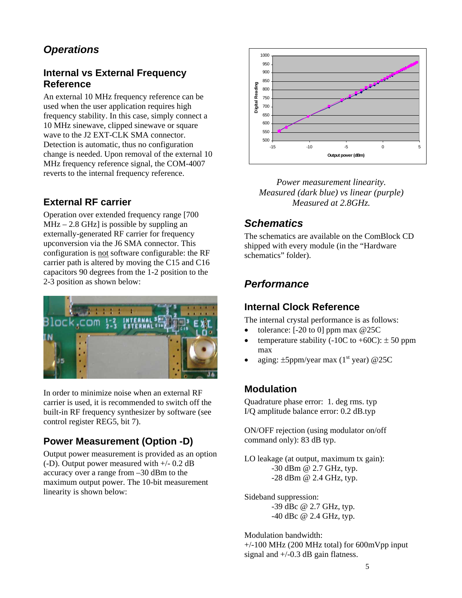## *Operations*

#### **Internal vs External Frequency Reference**

An external 10 MHz frequency reference can be used when the user application requires high frequency stability. In this case, simply connect a 10 MHz sinewave, clipped sinewave or square wave to the J2 EXT-CLK SMA connector. Detection is automatic, thus no configuration change is needed. Upon removal of the external 10 MHz frequency reference signal, the COM-4007 reverts to the internal frequency reference.

### **External RF carrier**

Operation over extended frequency range [700  $MHz - 2.8$  GHz] is possible by suppling an externally-generated RF carrier for frequency upconversion via the J6 SMA connector. This configuration is not software configurable: the RF carrier path is altered by moving the C15 and C16 capacitors 90 degrees from the 1-2 position to the 2-3 position as shown below:



In order to minimize noise when an external RF carrier is used, it is recommended to switch off the built-in RF frequency synthesizer by software (see control register REG5, bit 7).

### **Power Measurement (Option -D)**

Output power measurement is provided as an option (-D). Output power measured with +/- 0.2 dB accuracy over a range from –30 dBm to the maximum output power. The 10-bit measurement linearity is shown below:



*Power measurement linearity. Measured (dark blue) vs linear (purple) Measured at 2.8GHz.* 

### *Schematics*

The schematics are available on the ComBlock CD shipped with every module (in the "Hardware schematics" folder).

### *Performance*

#### **Internal Clock Reference**

The internal crystal performance is as follows:

- tolerance:  $[-20 \text{ to } 0]$  ppm max  $@25C$
- temperature stability (-10C to +60C):  $\pm$  50 ppm max
- aging:  $\pm 5$ ppm/year max (1<sup>st</sup> year) @25C

#### **Modulation**

Quadrature phase error: 1. deg rms. typ I/Q amplitude balance error: 0.2 dB.typ

ON/OFF rejection (using modulator on/off command only): 83 dB typ.

LO leakage (at output, maximum tx gain): -30 dBm @ 2.7 GHz, typ. -28 dBm @ 2.4 GHz, typ.

Sideband suppression: -39 dBc @ 2.7 GHz, typ. -40 dBc @ 2.4 GHz, typ.

Modulation bandwidth:  $+/-100$  MHz (200 MHz total) for 600mVpp input signal and  $+/-0.3$  dB gain flatness.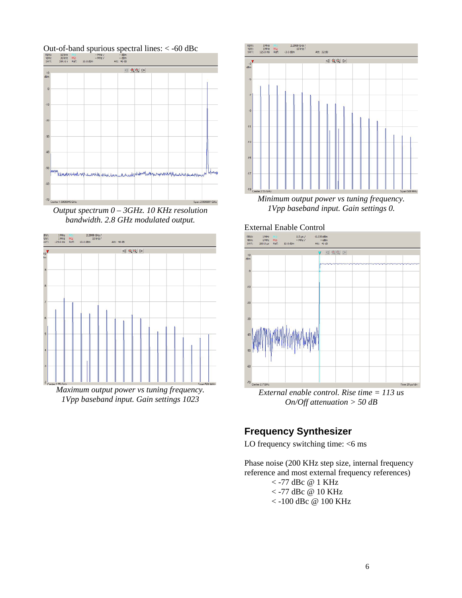

*Output spectrum 0 – 3GHz. 10 KHz resolution bandwidth. 2.8 GHz modulated output.* 



*Maximum output power vs tuning frequency. 1Vpp baseband input. Gain settings 1023* 



*Minimum output power vs tuning frequency. 1Vpp baseband input. Gain settings 0.* 





*External enable control. Rise time = 113 us On/Off attenuation > 50 dB* 

#### **Frequency Synthesizer**

LO frequency switching time:  $<$ 6 ms

Phase noise (200 KHz step size, internal frequency reference and most external frequency references)

$$
\begin{array}{c}\n < -77 \text{ dBc} \text{ @ } 1 \text{ KHz} \\
< -77 \text{ dBc} \text{ @ } 10 \text{ KHz} \\
< 100 \text{ dBc} \text{ @ } 100 \text{ KHz}\n\end{array}
$$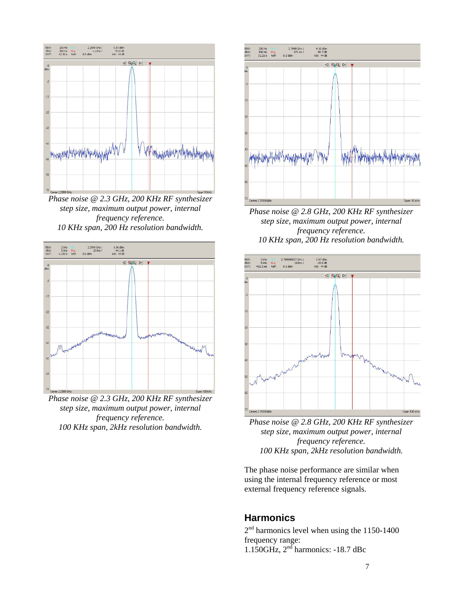

*Phase noise @ 2.3 GHz, 200 KHz RF synthesizer step size, maximum output power, internal frequency reference. 10 KHz span, 200 Hz resolution bandwidth.* 



*Phase noise @ 2.3 GHz, 200 KHz RF synthesizer step size, maximum output power, internal frequency reference. 100 KHz span, 2kHz resolution bandwidth.* 



*Phase noise @ 2.8 GHz, 200 KHz RF synthesizer step size, maximum output power, internal frequency reference. 10 KHz span, 200 Hz resolution bandwidth.* 



*Phase noise @ 2.8 GHz, 200 KHz RF synthesizer step size, maximum output power, internal frequency reference. 100 KHz span, 2kHz resolution bandwidth.* 

The phase noise performance are similar when using the internal frequency reference or most external frequency reference signals.

#### **Harmonics**

2<sup>nd</sup> harmonics level when using the 1150-1400 frequency range: 1.150GHz,  $2<sup>nd</sup>$  harmonics: -18.7 dBc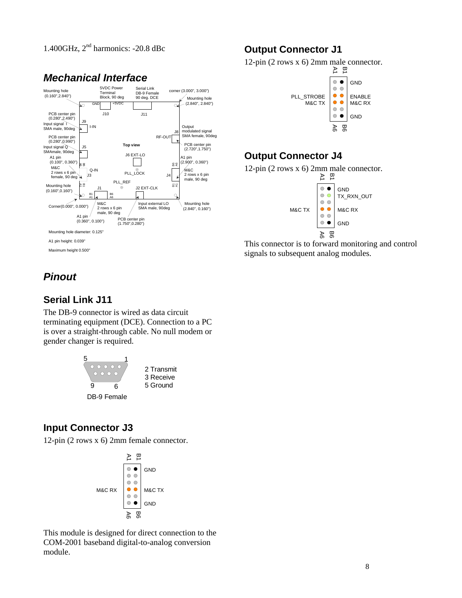1.400GHz,  $2<sup>nd</sup>$  harmonics: -20.8 dBc



# *Mechanical Interface*

### **Output Connector J1**

12-pin (2 rows x 6) 2mm male connector.



### **Output Connector J4**



This connector is to forward monitoring and control signals to subsequent analog modules.

# *Pinout*

### **Serial Link J11**

The DB-9 connector is wired as data circuit terminating equipment (DCE). Connection to a PC is over a straight-through cable. No null modem or gender changer is required.



### **Input Connector J3**

12-pin (2 rows x 6) 2mm female connector.



This module is designed for direct connection to the COM-2001 baseband digital-to-analog conversion module.